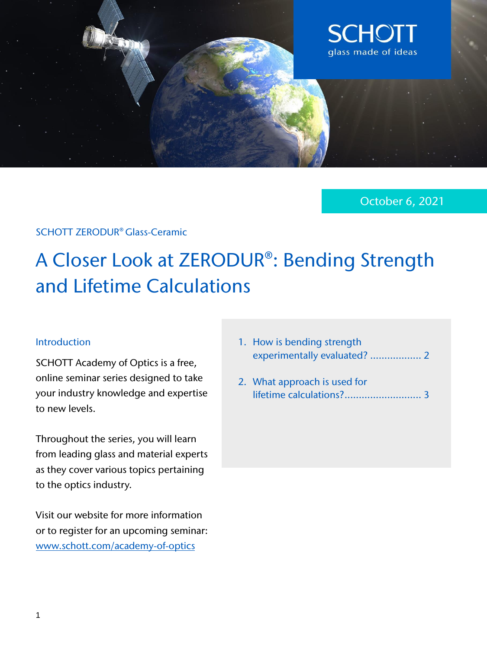

October 6, 2021

### SCHOTT ZERODUR® Glass-Ceramic

# A Closer Look at ZERODUR®: Bending Strength and Lifetime Calculations

#### Introduction

SCHOTT Academy of Optics is a free, online seminar series designed to take your industry knowledge and expertise to new levels.

Throughout the series, you will learn from leading glass and material experts as they cover various topics pertaining to the optics industry.

Visit our website for more information or to register for an upcoming seminar: [www.schott.com/academy](https://web.cvent.com/event/4e75919d-5a35-4140-b94b-95336562b4b8/summary)-of-optics

- 1. How is bending strength experimentally evaluated? .................. 2
- 2. What approach is used for lifetime calculations?........................... 3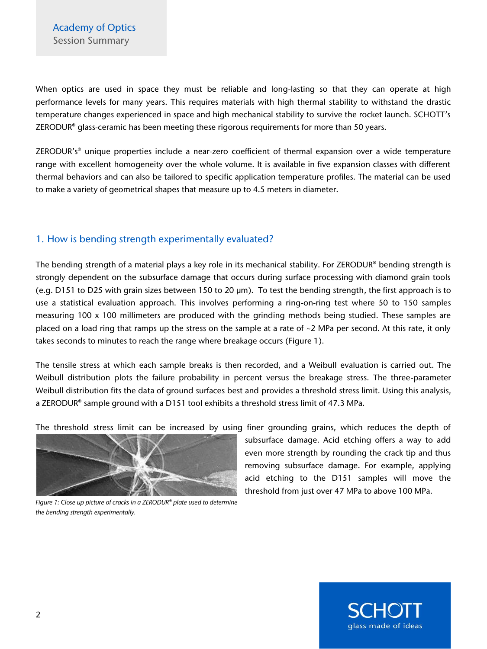When optics are used in space they must be reliable and long-lasting so that they can operate at high performance levels for many years. This requires materials with high thermal stability to withstand the drastic temperature changes experienced in space and high mechanical stability to survive the rocket launch. SCHOTT's ZERODUR® glass-ceramic has been meeting these rigorous requirements for more than 50 years.

ZERODUR's<sup>®</sup> unique properties include a near-zero coefficient of thermal expansion over a wide temperature range with excellent homogeneity over the whole volume. It is available in five expansion classes with different thermal behaviors and can also be tailored to specific application temperature profiles. The material can be used to make a variety of geometrical shapes that measure up to 4.5 meters in diameter.

### 1. How is bending strength experimentally evaluated?

The bending strength of a material plays a key role in its mechanical stability. For ZERODUR® bending strength is strongly dependent on the subsurface damage that occurs during surface processing with diamond grain tools (e.g. D151 to D25 with grain sizes between 150 to 20 µm). To test the bending strength, the first approach is to use a statistical evaluation approach. This involves performing a ring-on-ring test where 50 to 150 samples measuring 100 x 100 millimeters are produced with the grinding methods being studied. These samples are placed on a load ring that ramps up the stress on the sample at a rate of ~2 MPa per second. At this rate, it only takes seconds to minutes to reach the range where breakage occurs (Figure 1).

The tensile stress at which each sample breaks is then recorded, and a Weibull evaluation is carried out. The Weibull distribution plots the failure probability in percent versus the breakage stress. The three-parameter Weibull distribution fits the data of ground surfaces best and provides a threshold stress limit. Using this analysis, a ZERODUR® sample ground with a D151 tool exhibits a threshold stress limit of 47.3 MPa.

The threshold stress limit can be increased by using finer grounding grains, which reduces the depth of



*Figure 1: Close up picture of cracks in a ZERODUR® plate used to determine the bending strength experimentally.* 

subsurface damage. Acid etching offers a way to add even more strength by rounding the crack tip and thus removing subsurface damage. For example, applying acid etching to the D151 samples will move the threshold from just over 47 MPa to above 100 MPa.

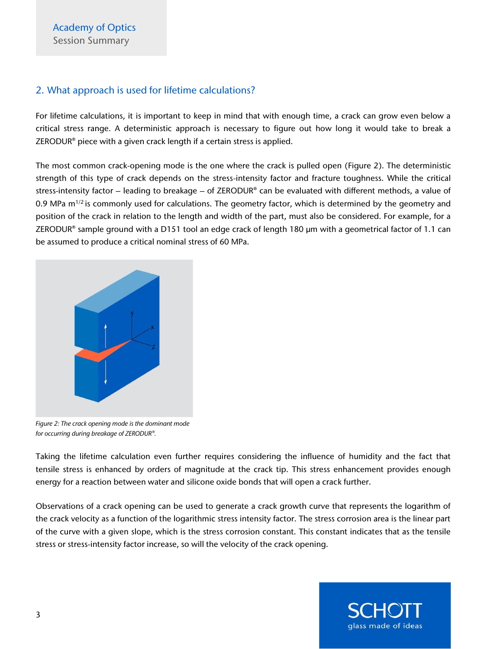#### 2. What approach is used for lifetime calculations?

For lifetime calculations, it is important to keep in mind that with enough time, a crack can grow even below a critical stress range. A deterministic approach is necessary to figure out how long it would take to break a ZERODUR® piece with a given crack length if a certain stress is applied.

The most common crack-opening mode is the one where the crack is pulled open (Figure 2). The deterministic strength of this type of crack depends on the stress-intensity factor and fracture toughness. While the critical stress-intensity factor – leading to breakage – of ZERODUR® can be evaluated with different methods, a value of 0.9 MPa  $m^{1/2}$  is commonly used for calculations. The geometry factor, which is determined by the geometry and position of the crack in relation to the length and width of the part, must also be considered. For example, for a ZERODUR® sample ground with a D151 tool an edge crack of length 180 µm with a geometrical factor of 1.1 can be assumed to produce a critical nominal stress of 60 MPa.



*Figure 2: The crack opening mode is the dominant mode for occurring during breakage of ZERODUR®.*

Taking the lifetime calculation even further requires considering the influence of humidity and the fact that tensile stress is enhanced by orders of magnitude at the crack tip. This stress enhancement provides enough energy for a reaction between water and silicone oxide bonds that will open a crack further.

Observations of a crack opening can be used to generate a crack growth curve that represents the logarithm of the crack velocity as a function of the logarithmic stress intensity factor. The stress corrosion area is the linear part of the curve with a given slope, which is the stress corrosion constant. This constant indicates that as the tensile stress or stress-intensity factor increase, so will the velocity of the crack opening.

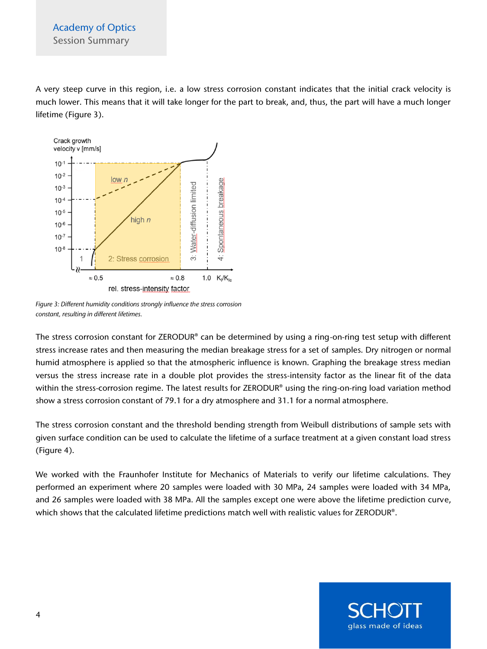A very steep curve in this region, i.e. a low stress corrosion constant indicates that the initial crack velocity is much lower. This means that it will take longer for the part to break, and, thus, the part will have a much longer lifetime (Figure 3).



*Figure 3: Different humidity conditions strongly influence the stress corrosion constant, resulting in different lifetimes.*

The stress corrosion constant for ZERODUR® can be determined by using a ring-on-ring test setup with different stress increase rates and then measuring the median breakage stress for a set of samples. Dry nitrogen or normal humid atmosphere is applied so that the atmospheric influence is known. Graphing the breakage stress median versus the stress increase rate in a double plot provides the stress-intensity factor as the linear fit of the data within the stress-corrosion regime. The latest results for ZERODUR<sup>®</sup> using the ring-on-ring load variation method show a stress corrosion constant of 79.1 for a dry atmosphere and 31.1 for a normal atmosphere.

The stress corrosion constant and the threshold bending strength from Weibull distributions of sample sets with given surface condition can be used to calculate the lifetime of a surface treatment at a given constant load stress (Figure 4).

We worked with the Fraunhofer Institute for Mechanics of Materials to verify our lifetime calculations. They performed an experiment where 20 samples were loaded with 30 MPa, 24 samples were loaded with 34 MPa, and 26 samples were loaded with 38 MPa. All the samples except one were above the lifetime prediction curve, which shows that the calculated lifetime predictions match well with realistic values for ZERODUR®.